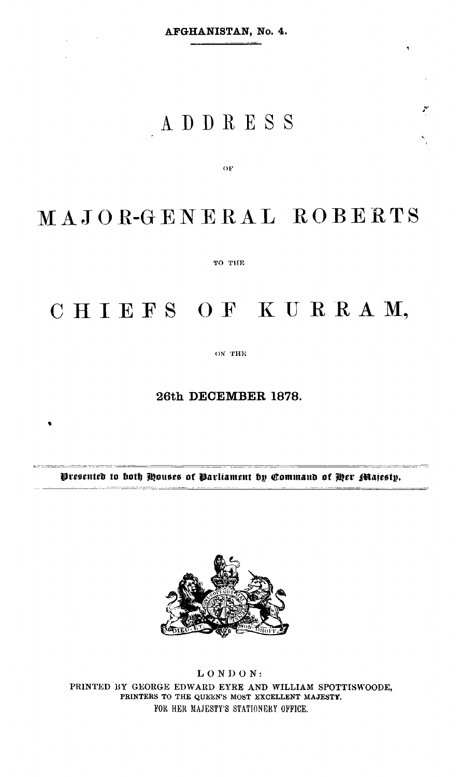¥

يتو

 $\chi_{\rm{max}}$  and  $\chi_{\rm{max}}$ 

## ADDRESS

OF

# MAJOR-GENERAL ROBERTS

TO THE

### CHIEFS OF KURRAM,

ON THE

#### 26th DECEMBER 1878.

Presented to both Houses of Parliament by Command of Her Majesty.



 $LONDON$ : PRINTED BY GEORGE EDWARD EYRE AND WILLIAM SPOTTISWOODE, PRINTERS TO THE QUEEN'S MOST EXCELLENT MAJESTY. FOR HER MAJESTY'S STATIONERY OFFICE.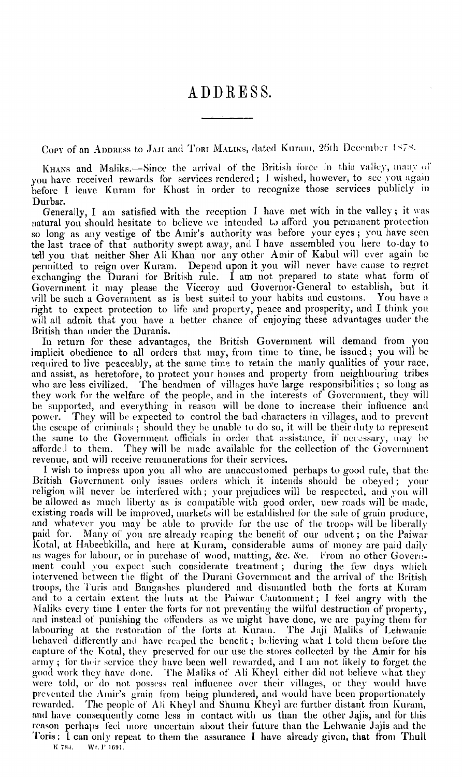#### ADDRESS.

Copy of an ADDRESS to JAJI and ToRI MALIKS, dated Kuram, 26th December 1878.

KHANS and Maliks.-Since the arrival of the British force in this valley, many of you have received rewards for services rendered; I wished, however, to see you again before I leave Kuram for Khost in order to recognize those services publicly in Durbar.

Generally, I am satisfied with the reception I have met with in the valley; it was natural you should hesitate to believe we intended to afford you permanent protection<br>so long as any vestige of the Amir's authority was before your eyes; you have seen<br>the last trace of that authority swept away, and I ha tell you that neither Sher Ali Khan nor any other Amir of Kabul will ever again be permitted to reign over Kuram. Depend upon it you will never have cause to regret exchanging the Durani for British rule. I am not prepared to state what form of Government it may please the Viceroy and Governor-General to establish, but it will be such a Government as is best suited to your habits and customs. You have a right to expect protection to life and property, peace and prosperity, and I think you will all admit that you have a better chance of enjoying these advantages under the British than under the Duranis.

In return for these advantages, the British Government will demand from you implicit obedience to all orders that may, from time to time, be issued; you will be required to live peaceably, at the same time to retain the manly qualities of your race, and assist, as heretofore, to protect your homes and property from neighbouring tribes who are less civilized. The headmen of villages have large responsibilities; so long as they work for the welfare of the people, and in the interests of Government, they will be supported, and everything in reason will be done to increase their influence and They will be expected to control the bad characters in villages, and to prevent power. the escape of criminals; should they be unable to do so, it will be their duty to represent the same to the Government officials in order that assistance, if necessary, may be They will be made available for the collection of the Government afforded to them. revenue, and will receive remunerations for their services.

I wish to impress upon you all who are unaccustomed perhaps to good rule, that the British Government only issues orders which it intends should be obeyed; your religion will never be interfered with; your prejudices will be respected, and you will be allowed as much liberty as is compatible with good order, new roads will be made, existing roads will be improved, markets will be established for the sale of grain produce, and whatever you may be able to provide for the use of the troops will be liberally paid for. Many of you are already reaping the benefit of our advent; on the Paiwar Kotal, at Habeebkilla, and here at Kuram, considerable sums of money are paid daily as wages for labour, or in purchase of wood, matting, &c. &c. From no other Government could you expect such considerate treatment; during the few days which intervened between the flight of the Durani Government and the arrival of the British troops, the Turis and Bangashes plundered and dismantled both the forts at Kuram and to a certain extent the huts at the Paiwar Cantonment; I feel angry with the Maliks every time I enter the forts for not preventing the wilful destruction of property, and instead of punishing the offenders as we might have done, we are paying them for labouring at the restoration of the forts at Kuram. The Jaji Maliks of Lehwanie behaved differently and have reaped the benefit; believing what I told them before the capture of the Kotal, they preserved for our use the stores collected by the Amir for his army; for their service they have been well rewarded, and I am not likely to forget the good work they have done. The Maliks of Ali Kheyl either did not believe what they were told, or do not possess real influence over their villages, or they would have prevented the Amir's grain from being plundered, and would have been proportionately rewarded. The people of Ali Kheyl and Shumu Kheyl are further distant from Kuram, and have consequently come less in contact with us than the other Jajis, and for this reason perhaps feel more uncertain about their future than the Lehwanie Jajis and the Toris: I can only repeat to them the assurance I have already given, that from Thull

K 784. Wt. P 1691.